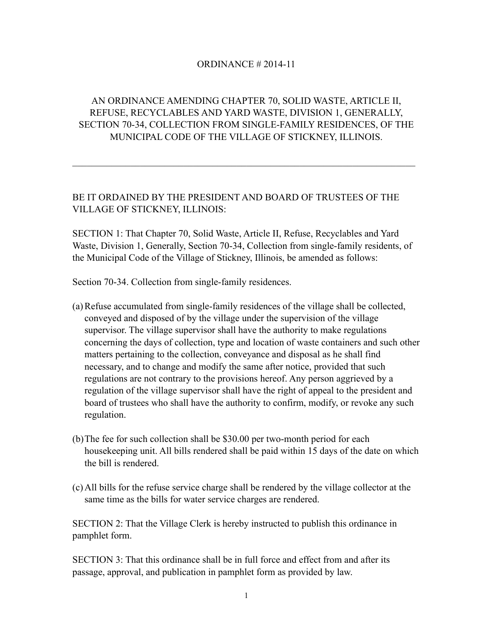## ORDINANCE # 2014-11

## AN ORDINANCE AMENDING CHAPTER 70, SOLID WASTE, ARTICLE II, REFUSE, RECYCLABLES AND YARD WASTE, DIVISION 1, GENERALLY, SECTION 70-34, COLLECTION FROM SINGLE-FAMILY RESIDENCES, OF THE MUNICIPAL CODE OF THE VILLAGE OF STICKNEY, ILLINOIS.

 $\mathcal{L}_\text{max} = \mathcal{L}_\text{max} = \mathcal{L}_\text{max} = \mathcal{L}_\text{max} = \mathcal{L}_\text{max} = \mathcal{L}_\text{max} = \mathcal{L}_\text{max} = \mathcal{L}_\text{max} = \mathcal{L}_\text{max} = \mathcal{L}_\text{max} = \mathcal{L}_\text{max} = \mathcal{L}_\text{max} = \mathcal{L}_\text{max} = \mathcal{L}_\text{max} = \mathcal{L}_\text{max} = \mathcal{L}_\text{max} = \mathcal{L}_\text{max} = \mathcal{L}_\text{max} = \mathcal{$ 

## BE IT ORDAINED BY THE PRESIDENT AND BOARD OF TRUSTEES OF THE VILLAGE OF STICKNEY, ILLINOIS:

SECTION 1: That Chapter 70, Solid Waste, Article II, Refuse, Recyclables and Yard Waste, Division 1, Generally, Section 70-34, Collection from single-family residents, of the Municipal Code of the Village of Stickney, Illinois, be amended as follows:

Section 70-34. Collection from single-family residences.

- (a)Refuse accumulated from single-family residences of the village shall be collected, conveyed and disposed of by the village under the supervision of the village supervisor. The village supervisor shall have the authority to make regulations concerning the days of collection, type and location of waste containers and such other matters pertaining to the collection, conveyance and disposal as he shall find necessary, and to change and modify the same after notice, provided that such regulations are not contrary to the provisions hereof. Any person aggrieved by a regulation of the village supervisor shall have the right of appeal to the president and board of trustees who shall have the authority to confirm, modify, or revoke any such regulation.
- (b)The fee for such collection shall be \$30.00 per two-month period for each housekeeping unit. All bills rendered shall be paid within 15 days of the date on which the bill is rendered.
- (c)All bills for the refuse service charge shall be rendered by the village collector at the same time as the bills for water service charges are rendered.

SECTION 2: That the Village Clerk is hereby instructed to publish this ordinance in pamphlet form.

SECTION 3: That this ordinance shall be in full force and effect from and after its passage, approval, and publication in pamphlet form as provided by law.